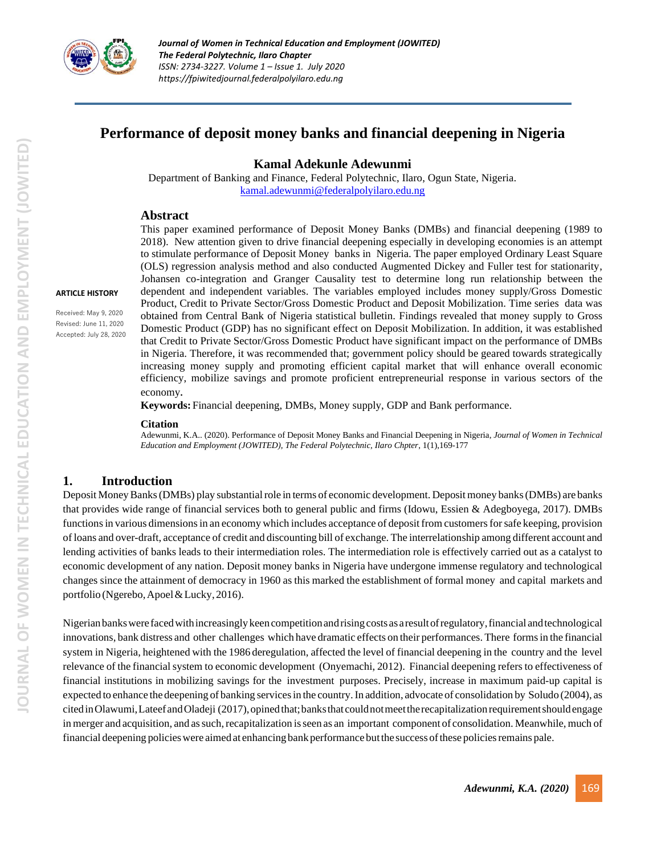

**ARTICLE HISTORY** Received: May 9, 2020 Revised: June 11, 2020 Accepted: July 28, 2020

# **Performance of deposit money banks and financial deepening in Nigeria**

#### **Kamal Adekunle Adewunmi**

Department of Banking and Finance, Federal Polytechnic, Ilaro, Ogun State, Nigeria. [kamal.adewunmi@federalpolyilaro.edu.ng](mailto:kamal.adewunmi@federalpolyilaro.edu.ng)

# **Abstract**

This paper examined performance of Deposit Money Banks (DMBs) and financial deepening (1989 to 2018). New attention given to drive financial deepening especially in developing economies is an attempt to stimulate performance of Deposit Money banks in Nigeria. The paper employed Ordinary Least Square (OLS) regression analysis method and also conducted Augmented Dickey and Fuller test for stationarity, Johansen co-integration and Granger Causality test to determine long run relationship between the dependent and independent variables. The variables employed includes money supply/Gross Domestic Product, Credit to Private Sector/Gross Domestic Product and Deposit Mobilization. Time series \data was obtained from Central Bank of Nigeria statistical bulletin. Findings revealed that money supply to Gross Domestic Product (GDP) has no significant effect on Deposit Mobilization. In addition, it was established that Credit to Private Sector/Gross Domestic Product have significant impact on the performance of DMBs in Nigeria. Therefore, it was recommended that; government policy should be geared towards strategically increasing money supply and promoting efficient capital market that will enhance overall economic efficiency, mobilize savings and promote proficient entrepreneurial response in various sectors of the economy*.*

**Keywords:**Financial deepening, DMBs, Money supply, GDP and Bank performance.

#### **Citation**

Adewunmi, K.A.. (2020). Performance of Deposit Money Banks and Financial Deepening in Nigeria, *Journal of Women in Technical Education and Employment (JOWITED), The Federal Polytechnic, Ilaro Chpter*, 1(1),169-177

# **1. Introduction** I

Deposit Money Banks (DMBs) play substantial role in terms of economic development. Deposit money banks (DMBs) are banks that provides wide range of financial services both to general public and firms (Idowu, Essien & Adegboyega, 2017). DMBs functions in various dimensions in an economy which includes acceptance of deposit from customers for safe keeping, provision of loans and over-draft, acceptance of credit and discounting bill of exchange. The interrelationship among different account and lending activities of banks leads to their intermediation roles. The intermediation role is effectively carried out as a catalyst to economic development of any nation. Deposit money banks in Nigeria have undergone immense regulatory and technological changes since the attainment of democracy in 1960 as this marked the establishment of formal money and capital markets and portfolio (Ngerebo,Apoel&Lucky, 2016).

Nigerianbankswere facedwithincreasinglykeencompetitionandrisingcosts as aresultofregulatory,financial andtechnological innovations, bank distress and other challenges which have dramatic effects on their performances. There formsin the financial system in Nigeria, heightened with the 1986 deregulation, affected the level of financial deepening in the country and the level relevance of the financial system to economic development (Onyemachi, 2012). Financial deepening refersto effectiveness of financial institutions in mobilizing savings for the investment purposes. Precisely, increase in maximum paid-up capital is expected to enhance the deepening of banking servicesin the country.In addition, advocate of consolidation by Soludo (2004), as citedinOlawumi,LateefandOladeji (2017),opinedthat;banksthatcouldnotmeettherecapitalizationrequirementshouldengage in merger and acquisition, and as such, recapitalization is seen as an important component of consolidation. Meanwhile, much of financial deepening policieswere aimed at enhancing bank performance butthe success ofthese policiesremains pale.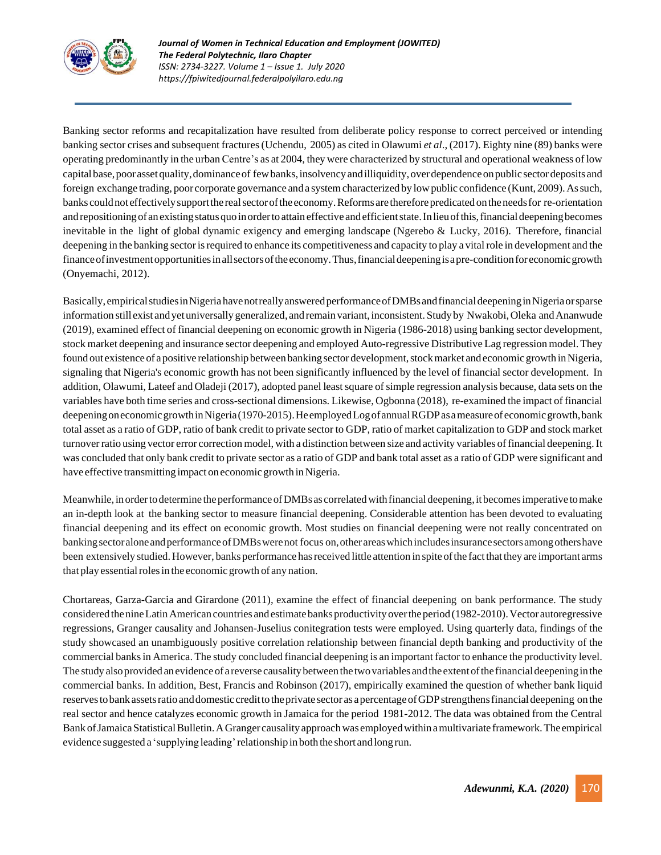

Banking sector reforms and recapitalization have resulted from deliberate policy response to correct perceived or intending banking sector crises and subsequent fractures(Uchendu, <sup>i</sup>2005) as cited in Olawumi *et al*., (2017). Eighty nine (89) banks were operating predominantly in the urban Centre's as at 2004, they were characterized by structural and operational weakness of low capital base, poor asset quality, dominance of few banks, insolvency and illiquidity, over dependence on public sector deposits and foreign exchange trading, poor corporate governance and a system characterized by low public confidence (Kunt, 2009). As such, banks could not effectively support the real sector of the economy. Reforms are therefore predicated on the needs for re-orientation and repositioning of an existing status quo in order to attain effective and efficient state. In lieu of this, financial deepening becomes inevitable in the light of global dynamic exigency and emerging landscape (Ngerebo  $\&$  Lucky, 2016). Therefore, financial deepening in the banking sector is required to enhance its competitiveness and capacity to play a vital role in development and the finance of investment opportunities in all sectors of the economy. Thus, financial deepening is a pre-condition for economic growth (Onyemachi, 2012).

Basically, empiricalstudiesinNigeriahavenotreallyansweredperformanceofDMBsandfinancialdeepeninginNigeriaorsparse information still exist and yet universally generalized, and remain variant, inconsistent. Study by Nwakobi, Oleka and Ananwude (2019), examined effect of financial deepening on economic growth in Nigeria (1986-2018) using banking sector development, stock market deepening and insurance sector deepening and employed Auto-regressive Distributive Lag regression model.They found out existence of a positive relationship between banking sector development, stock market and economic growth in Nigeria, signaling that Nigeria's economic growth has not been significantly influenced by the level of financial sector development. In addition, Olawumi, Lateef and Oladeji (2017), adopted panel least square of simple regression analysis because, data sets on the variables have both time series and cross-sectional dimensions. Likewise, Ogbonna (2018), <sup>i</sup>re-examined the impact of financial deepening on economic growthin Nigeria (1970-2015). He employed Log of annual RGDP as a measure of economic growth, bank total asset as a ratio of GDP, ratio of bank credit to private sector to GDP, ratio of market capitalization to GDP and stock market turnover ratio using vector error correction model, with a distinction between size and activity variables of financial deepening. It was concluded that only bank credit to private sector as a ratio of GDP and bank total asset as a ratio of GDP were significant and have effective transmitting impact on economic growth in Nigeria.

Meanwhile, in order to determine the performance of DMBs as correlated with financial deepening, it becomes imperative to make an in-depth look at the banking sector to measure financial deepening. Considerable attention has been devoted to evaluating financial deepening and its effect on economic growth. Most studies on financial deepening were not really concentrated on banking sector alone and performance of DMBs were not focus on, other areas which includes insurance sectors among others have been extensively studied.However, banks performance hasreceived little attention in spite ofthe factthatthey are important arms that play essential roles in the economic growth of any nation.

Chortareas, Garza-Garcia and Girardone (2011), examine the effect of financial deepening <sup>i</sup>on bank performance. The study considered the nine Latin American countries and estimate banks productivity over the period (1982-2010). Vector autoregressive regressions, Granger causality and Johansen-Juselius conitegration tests were employed. Using quarterly data, findings of the study showcased an unambiguously positive correlation relationship between financial depth banking and productivity of the commercial banksin America. The study concluded financial deepening is an important factor to enhance the productivity level. The study also provided an evidence of a reverse causality between the two variables and the extent of the financial deepening in the commercial banks. In addition, Best, Francis and Robinson (2017), empirically examined the question of whether bank liquid reserves to bank assets ratio and domestic credit to the private sector as a percentage of GDP strengthens financial deepening on the real sector and hence catalyzes economic growth in Jamaica for the period <sup>i</sup>1981-2012. The data was obtained from the Central Bank of Jamaica Statistical Bulletin. A Granger causality approach was employed within a multivariate framework. The empirical evidence suggested a 'supplying leading'relationship in both the short and long run.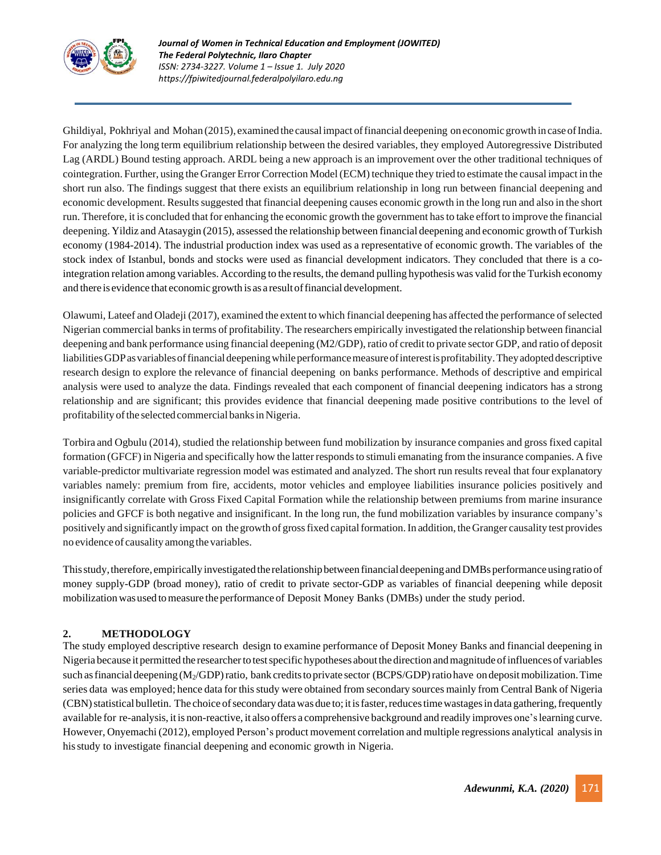

Ghildiyal, Pokhriyal and Mohan (2015), examined the causal impact of financial deepening on economic growth in case of India. For analyzing the long-term equilibrium relationship between the desired variables, they employed Autoregressive Distributed Lag (ARDL) Bound testing approach. ARDL being a new approach is an improvement over the other traditional techniques of cointegration. Further, using the Granger ErrorCorrection Model(ECM) technique they tried to estimate the causal impact in the short run also. The findings suggest that there exists an equilibrium relationship in long run between financial deepening and economic development. Results suggested that financial deepening causes economic growth in the long run and also in the short run. Therefore, it is concluded that for enhancing the economic growth the government hasto take effort to improve the financial deepening. Yildiz and Atasaygin (2015), assessed the relationship between financial deepening and economic growth of Turkish economy (1984-2014). The industrial production index was used as a representative of economic growth. The variables of the stock index of Istanbul, bonds and stocks were used as financial development indicators. They concluded that there is a cointegration relation among variables. According to the results, the demand pulling hypothesis was valid forthe Turkish economy and there is evidence that economic growth is as a resultoffinancial development.

Olawumi, Lateef and Oladeji (2017), examined the extent to which financial deepening has affected the performance ofselected Nigerian commercial banksin terms of profitability. The researchers empirically investigated the relationship between financial deepening and bank performance using financial deepening (M2/GDP), ratio of credit to private sector GDP, and ratio of deposit liabilities GDP as variables of financial deepening while performance measure of interest is profitability. They adopted descriptive research design to explore the relevance of financial deepening on banks performance. Methods of descriptive and empirical analysis were used to analyze the data. Findings revealed that each component of financial deepening indicators has a strong relationship and are significant; this provides evidence that financial deepening made positive contributions to the level of profitability of the selected commercial banks in Nigeria.

Torbira and Ogbulu (2014), studied the relationship between fund mobilization by insurance companies and gross fixed capital formation (GFCF) in Nigeria and specifically how the latter responds to stimuli emanating from the insurance companies. A five variable-predictor multivariate regression model was estimated and analyzed. The short run results reveal that four explanatory variables namely: premium from fire, accidents, motor vehicles and employee liabilities insurance policies positively and insignificantly correlate with Gross Fixed Capital Formation while the relationship between premiums from marine insurance policies and GFCF is both negative and insignificant. In the long run, the fund mobilization variables by insurance company's positively and significantly impact on the growth of gross fixed capital formation. In addition, the Granger causality test provides no evidence of causality among thevariables.

This study, therefore, empirically investigated the relationship between financial deepening and DMBs performance using ratio of money supply-GDP (broad money), ratio of credit to private sector-GDP as variables of financial deepening while deposit mobilization wasused tomeasure the performance of Deposit Money Banks (DMBs) under the study period.

# **2. METHODOLOGY**

The study employed descriptive research design to examine performance of Deposit Money Banks and financial deepening in Nigeria because it permitted the researcherto testspecific hypotheses aboutthedirection andmagnitude ofinfluences of variables such as financial deepening  $(M_2/GDP)$  ratio, bank credits to private sector (BCPS/GDP) ratio have on deposit mobilization. Time series data was employed; hence data for this study were obtained from secondary sources mainly from Central Bank of Nigeria (CBN) statistical bulletin. The choice of secondary data was due to; it is faster, reduces time wastages in data gathering, frequently available for re-analysis, it is non-reactive, it also offers a comprehensive background and readily improves one's learning curve. However, Onyemachi (2012), employed Person's product movement correlation and multiple regressions analytical analysisin hisstudy to investigate financial deepening and economic growth in Nigeria.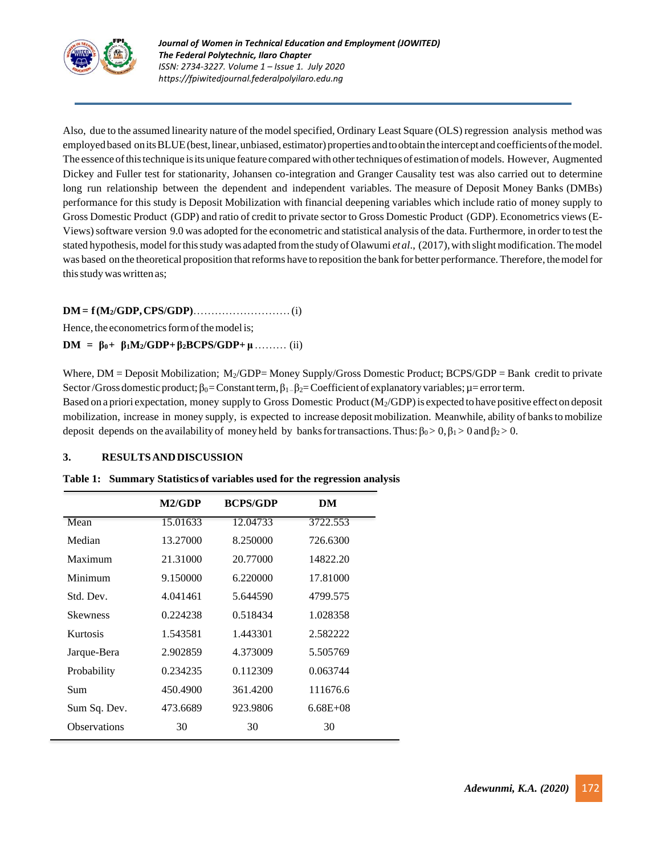

Also, due to the assumed linearity nature of the model specified, Ordinary Least Square (OLS) regression analysis method was employed based on its BLUE (best, linear, unbiased, estimator) properties and to obtain the intercept and coefficients of the model. The essence of this technique is its unique feature compared with other techniques of estimation of models. However, Augmented Dickey and Fuller test for stationarity, Johansen co-integration and Granger Causality test was also carried out to determine long run relationship between the dependent and independent variables. The measure of Deposit Money Banks (DMBs) performance for this study is Deposit Mobilization with financial deepening variables which include ratio of money supply to Gross Domestic Product <sup>i</sup>(GDP) and ratio of credit to private sector to Gross Domestic Product <sup>i</sup>(GDP). Econometrics views(E-Views) software version 9.0 was adopted for the econometric and statistical analysis of the data. Furthermore, in order to test the stated hypothesis, model for this study was adapted from the study of Olawumi *et al.*, (2017), with slight modification. The model was based on the theoretical proposition that reforms have to reposition the bank for better performance. Therefore, the model for this study was written as;

# **DM=if(M2/GDP,CPS/GDP)**………………………(i)

Hence, the econometrics form of the model is;

## **DM** =  $β_0 + β_1M_2/GDP + β_2BCPS/GDP + μ … …… (ii)$

Where,  $DM = Deposit Mod$ ization;  $M_2/GDP = Money Supply/Gross Domestic Product; BCPS/GDP = Bank credit to private$ Sector/Gross domestic product;  $\beta_0$ =Constantterm,  $\beta_1$ - $\beta_2$ =Coefficient of explanatory variables;  $\mu$ = error term.

Based on a priori expectation, money supply to Gross Domestic Product  $(M_2/GDP)$  is expected to have positive effect on deposit mobilization, increase in money supply, is expected to increase deposit mobilization. Meanwhile, ability of bankstomobilize deposit depends on the availability of money held by banks for transactions. Thus:  $\beta_0 > 0$ ,  $\beta_1 > 0$  and  $\beta_2 > 0$ .

#### **3. RESULTSANDDISCUSSION**

|  |  |  | Table 1: Summary Statistics of variables used for the regression analysis |  |  |  |
|--|--|--|---------------------------------------------------------------------------|--|--|--|
|--|--|--|---------------------------------------------------------------------------|--|--|--|

| M2/GDP   | <b>BCPS/GDP</b> | DM            |
|----------|-----------------|---------------|
| 15.01633 | 12.04733        | 3722.553      |
| 13.27000 | 8.250000        | 726.6300      |
| 21.31000 | 20.77000        | 14822.20      |
| 9.150000 | 6.220000        | 17.81000      |
| 4.041461 | 5.644590        | 4799.575      |
| 0.224238 | 0.518434        | 1.028358      |
| 1.543581 | 1.443301        | 2.582222      |
| 2.902859 | 4.373009        | 5.505769      |
| 0.234235 | 0.112309        | 0.063744      |
| 450.4900 | 361.4200        | 111676.6      |
| 473.6689 | 923.9806        | $6.68E + 0.8$ |
| 30       | 30              | 30            |
|          |                 |               |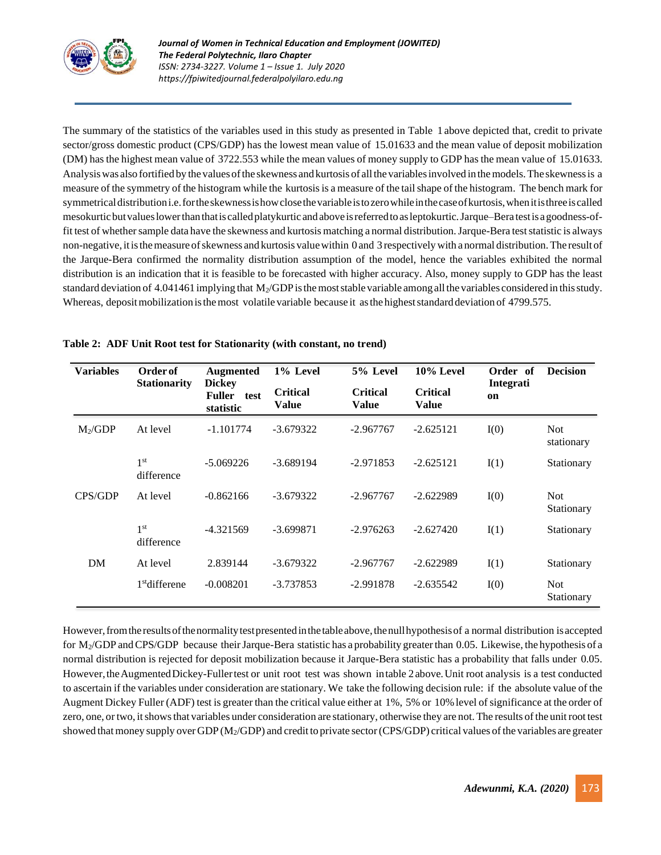

The summary of the statistics of the variables used in this study as presented in Table 1 above depicted that, credit to private sector/gross domestic product (CPS/GDP) has the lowest mean value of 15.01633 and the mean value of deposit mobilization (DM) has the highest mean value of 3722.553 while the mean values of money supply to GDP has the mean value of 15.01633. Analysis was also fortified by the values of the skewness and kurtosis of all the variables involved in the models. The skewness is a measure of the symmetry of the histogram while the kurtosis is a measure of the tail shape of the histogram. The bench mark for symmetricaldistributioni.e.fortheskewnessishowclosethevariableistozerowhileinthecaseofkurtosis,whenitisthreeiscalled mesokurtic but values lower than that is called platykurtic and above is referred to as leptokurtic. Jarque–Bera test is a goodness-of[fit](https://en.wikipedia.org/wiki/Goodness-of-fit) test of whether sample data have the [skewness](https://en.wikipedia.org/wiki/Skewness) and [kurtosis](https://en.wikipedia.org/wiki/Kurtosis) matching a normal [distribution.](https://en.wikipedia.org/wiki/Normal_distribution) Jarque-Bera test statistic is always non-negative, it is the measure of skewness and [kurtosis](https://en.wikipedia.org/wiki/Kurtosis) value within 0 and 3 respectively with a normal distribution. The result of the Jarque-Bera confirmed the normality distribution assumption of the model, hence the variables exhibited the normal distribution is an indication that it is feasible to be forecasted with higher accuracy. Also, money supply to GDP has the least standard deviation of 4.041461 implying that  $M<sub>2</sub>/GDP$  is the most stable variable among all the variables considered in this study. Whereas, deposit mobilization is the most volatile variable because it as the highest standard deviation of 4799.575.

| <b>Variables</b> | Order of                      | <b>Augmented</b>                             | 1% Level                        | 5% Level                        | 10% Level                       | Order of        | <b>Decision</b>          |
|------------------|-------------------------------|----------------------------------------------|---------------------------------|---------------------------------|---------------------------------|-----------------|--------------------------|
|                  | <b>Stationarity</b>           | <b>Dickey</b><br>Fuller<br>test<br>statistic | <b>Critical</b><br><b>Value</b> | <b>Critical</b><br><b>Value</b> | <b>Critical</b><br><b>Value</b> | Integrati<br>on |                          |
| $M_2/GDP$        | At level                      | $-1.101774$                                  | $-3.679322$                     | $-2.967767$                     | $-2.625121$                     | I(0)            | <b>Not</b><br>stationary |
|                  | 1 <sup>st</sup><br>difference | $-5.069226$                                  | $-3.689194$                     | $-2.971853$                     | $-2.625121$                     | I(1)            | Stationary               |
| CPS/GDP          | At level                      | $-0.862166$                                  | $-3.679322$                     | $-2.967767$                     | $-2.622989$                     | I(0)            | <b>Not</b><br>Stationary |
|                  | 1 <sup>st</sup><br>difference | $-4.321569$                                  | $-3.699871$                     | $-2.976263$                     | $-2.627420$                     | I(1)            | Stationary               |
| DM               | At level                      | 2.839144                                     | $-3.679322$                     | $-2.967767$                     | $-2.622989$                     | I(1)            | Stationary               |
|                  | $1st$ differene               | $-0.008201$                                  | $-3.737853$                     | $-2.991878$                     | $-2.635542$                     | I(0)            | <b>Not</b><br>Stationary |

## **Table 2: ADF Unit Root test for Stationarity (with constant, no trend)**

However, from the results of the normality test presented in the table above, the null hypothesis of a normal distribution is accepted for M<sub>2</sub>/GDP and CPS/GDP because their Jarque-Bera statistic has a probability greater than 0.05. Likewise, the hypothesis of a normal distribution is rejected for deposit mobilization because it Jarque-Bera statistic has a probability that falls under 0.05. However, the Augmented Dickey-Fuller test or unit root test was shown intable 2 above. Unit root analysis is a test conducted to ascertain if the variables under consideration are stationary. We take the following decision rule: if the absolute value of the Augment Dickey Fuller (ADF) test is greater than the critical value either at 1%, 5% or 10% level of significance at the order of zero, one, or two, it shows that variables under consideration are stationary, otherwise they are not. The results of the unit root test showed that money supply over GDP (M<sub>2</sub>/GDP) and credit to private sector (CPS/GDP) critical values of the variables are greater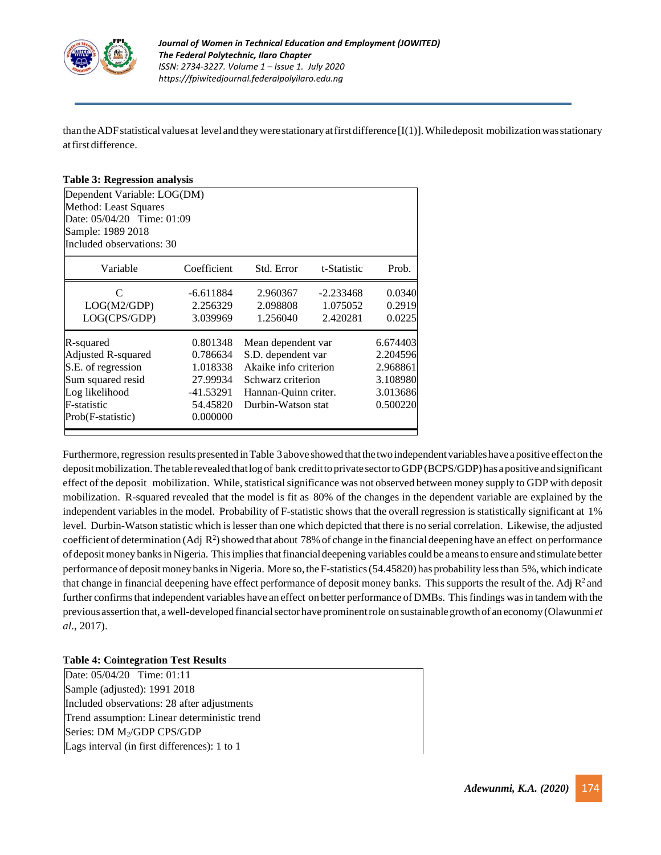

than the ADF statistical values at level and they were stationary at first difference  $[I(1)]$ . While deposit mobilization was stationary atfirst difference.

#### **Table 3: Regression analysis**

| Dependent Variable: LOG(DM) |             |                       |             |          |  |  |  |
|-----------------------------|-------------|-----------------------|-------------|----------|--|--|--|
| Method: Least Squares       |             |                       |             |          |  |  |  |
| Date: 05/04/20 Time: 01:09  |             |                       |             |          |  |  |  |
| Sample: 1989 2018           |             |                       |             |          |  |  |  |
| Included observations: 30   |             |                       |             |          |  |  |  |
| Variable                    | Coefficient | Std. Error            | t-Statistic | Prob.    |  |  |  |
| C                           | $-6.611884$ | 2.960367              | $-2.233468$ | 0.0340   |  |  |  |
| LOG(M2/GDP)                 | 2.256329    | 2.098808              | 1.075052    | 0.2919   |  |  |  |
| LOG(CPS/GDP)                | 3.039969    | 1.256040              | 2.420281    | 0.0225   |  |  |  |
| R-squared                   | 0.801348    | Mean dependent var    |             | 6.674403 |  |  |  |
| Adjusted R-squared          | 0.786634    | S.D. dependent var    |             | 2.204596 |  |  |  |
| S.E. of regression          | 1.018338    | Akaike info criterion |             | 2.968861 |  |  |  |
| Sum squared resid           | 27.99934    | Schwarz criterion     |             | 3.108980 |  |  |  |
| Log likelihood              | -41.53291   | Hannan-Quinn criter.  |             | 3.013686 |  |  |  |
| F-statistic                 | 54.45820    | Durbin-Watson stat    |             | 0.500220 |  |  |  |
| Prob(F-statistic)           |             |                       |             |          |  |  |  |

Furthermore, regression results presented in Table 3 above showed that the two independent variables have a positive effect on the deposit mobilization. The table revealed that log of bank credit to private sector to GDP (BCPS/GDP) has a positive and significant effect of the deposit mobilization. While, statistical significance was not observed between money supply to GDP with deposit mobilization. R-squared revealed that the model is fit as 80% of the changes in the dependent variable are explained by the independent variables in the model. Probability of F-statistic shows that the overall regression is statistically significant at <sup>i</sup>1% level. Durbin-Watson statistic which islesser than one which depicted that there is no serial correlation. Likewise, the adjusted coefficient of determination (Adj  $R^2$ ) showed that about 78% of change in the financial deepening have an effect on performance of depositmoney banksinNigeria. Thisimpliesthatfinancial deepening variables could be ameansto ensure and stimulate better performance of deposit money banks in Nigeria. More so, the F-statistics (54.45820) has probability less than 5%, which indicate that change in financial deepening have effect performance of deposit money banks. This supports the result of the. Adj  $R^2$  and further confirms that independent variables have an effect on better performance of DMBs. This findings was in tandem with the previous assertion that, a well-developed financial sector have prominent role on sustainable growth of an economy (Olawunmi *et al.*, 2017).

#### **Table 4: Cointegration Test Results**

Date: 05/04/20 Time: 01:11 Sample (adjusted): 1991 2018 Included observations: 28 after adjustments Trend assumption: Linear deterministic trend Series: DM M<sub>2</sub>/GDP CPS/GDP Lags interval (in first differences): 1 to 1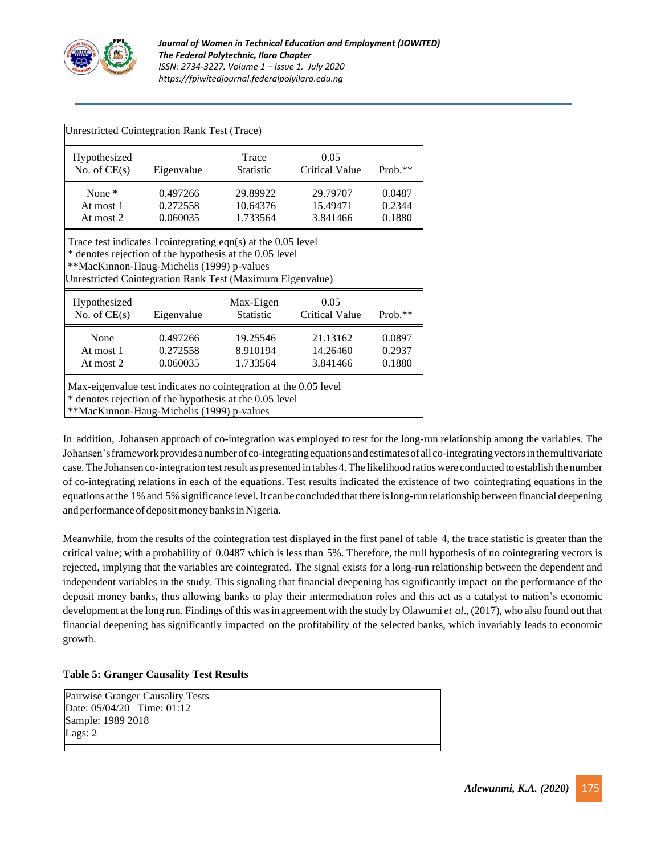

| Unrestricted Cointegration Rank Test (Trace)                                                                                                                                                                                       |                                                                                                                                        |                                  |                                  |                            |  |  |  |
|------------------------------------------------------------------------------------------------------------------------------------------------------------------------------------------------------------------------------------|----------------------------------------------------------------------------------------------------------------------------------------|----------------------------------|----------------------------------|----------------------------|--|--|--|
| Hypothesized<br>No. of $CE(s)$                                                                                                                                                                                                     | Eigenvalue                                                                                                                             | Trace<br><b>Statistic</b>        | 0.05<br><b>Critical Value</b>    | $Prob.**$                  |  |  |  |
| None $*$<br>At most 1<br>At most 2                                                                                                                                                                                                 | 29.79707<br>0.0487<br>0.497266<br>29.89922<br>15.49471<br>0.2344<br>0.272558<br>10.64376<br>0.060035<br>1.733564<br>3.841466<br>0.1880 |                                  |                                  |                            |  |  |  |
| Trace test indicates 1 cointegrating eqn(s) at the 0.05 level<br>* denotes rejection of the hypothesis at the 0.05 level<br>**MacKinnon-Haug-Michelis (1999) p-values<br>Unrestricted Cointegration Rank Test (Maximum Eigenvalue) |                                                                                                                                        |                                  |                                  |                            |  |  |  |
| Hypothesized<br>0.05<br>Max-Eigen<br>No. of $CE(s)$<br><b>Statistic</b><br><b>Critical Value</b><br>Eigenvalue<br>$Prob.**$                                                                                                        |                                                                                                                                        |                                  |                                  |                            |  |  |  |
| None<br>At most 1<br>At most 2                                                                                                                                                                                                     | 0.497266<br>0.272558<br>0.060035                                                                                                       | 19.25546<br>8.910194<br>1.733564 | 21.13162<br>14.26460<br>3.841466 | 0.0897<br>0.2937<br>0.1880 |  |  |  |
| Max-eigenvalue test indicates no cointegration at the 0.05 level<br>* denotes rejection of the hypothesis at the 0.05 level<br>**MacKinnon-Haug-Michelis (1999) p-values                                                           |                                                                                                                                        |                                  |                                  |                            |  |  |  |

In addition, Johansen approach of co-integration was employed to test for the long-run relationship among the variables. The Johansen's framework provides a number of co-integrating equations and estimates of all co-integrating vectors in the multivariate case.The Johansen co-integration testresult as presented in tables 4.The likelihood ratioswere conducted to establish the number of co-integrating relations in each of the equations. Test results indicated the existence of two <sup>i</sup>cointegrating equations in the equations at the 1% and 5% significance level. It can be concluded that there is long-run relationship between financial deepening and performance of deposit money banks in Nigeria.

Meanwhile, from the results of the cointegration test displayed in the first panel of table 4, the trace statistic is greater than the critical value; with a probability of 0.0487 which is less than 5%. Therefore, the null hypothesis of no cointegrating vectors is rejected, implying that the variables are cointegrated. The signal exists for a long-run relationship between the dependent and independent variables in the study. This signaling that financial deepening has significantly impact on the performance of the deposit money banks, thus allowing banks to play their intermediation roles and this act as a catalyst to nation's economic development at the long run. Findings of this wasin agreement with the study by Olawumi *et <sup>i</sup>al*., (2017), who also found out that financial deepening has significantly impacted on the profitability of the selected banks, which invariably leads to economic growth.

#### **Table 5: Granger Causality Test Results**

Pairwise Granger Causality Tests Date: 05/04/20 Time: 01:12 Sample: 1989 2018 Lags: 2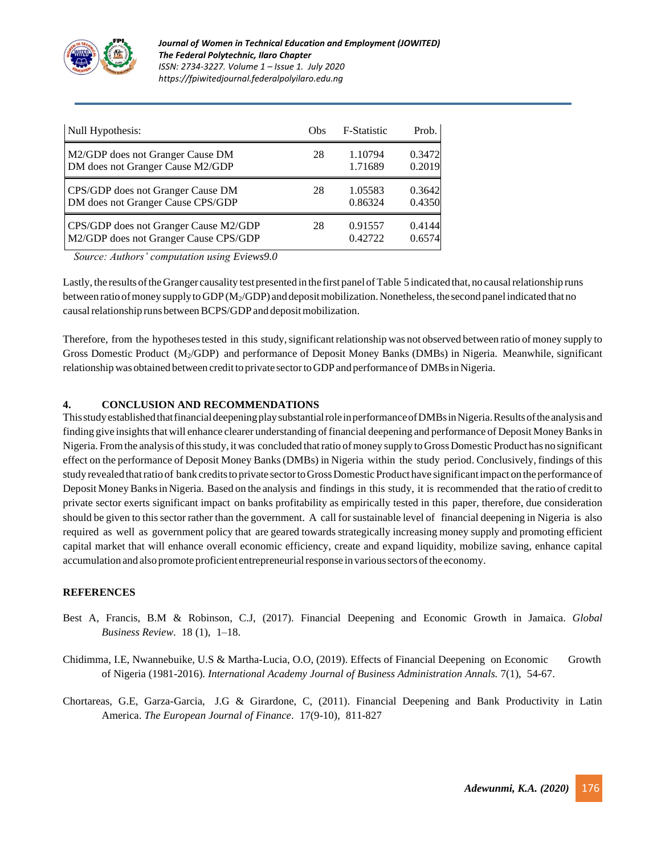

| Null Hypothesis:                      | Obs | <b>F-Statistic</b> | Prob.  |
|---------------------------------------|-----|--------------------|--------|
| M2/GDP does not Granger Cause DM      | 28  | 1.10794            | 0.3472 |
| DM does not Granger Cause M2/GDP      |     | 1.71689            | 0.2019 |
| CPS/GDP does not Granger Cause DM     | 28  | 1.05583            | 0.3642 |
| DM does not Granger Cause CPS/GDP     |     | 0.86324            | 0.4350 |
| CPS/GDP does not Granger Cause M2/GDP | 28  | 0.91557            | 0.4144 |
| M2/GDP does not Granger Cause CPS/GDP |     | 0.42722            | 0.6574 |

*Source: Authors' computation using Eviews9.0*

Lastly, the results of the Granger causality test presented in the first panel of Table 5 indicated that, no causal relationship runs between ratio of money supply to GDP (M<sub>2</sub>/GDP) and deposit mobilization. Nonetheless, the second panel indicated that no causal relationship runs between BCPS/GDP and deposit mobilization.

Therefore, from the hypotheses tested in this study, significant relationship was not observed between ratio of money supply to Gross Domestic Product (M<sub>2</sub>/GDP) and performance of Deposit Money Banks (DMBs) in Nigeria. Meanwhile, significant relationship was obtained between credit to private sector to GDP and performance of DMBs in Nigeria.

## **4.<sup>I</sup> CONCLUSION AND RECOMMENDATIONS**

ThisstudyestablishedthatfinancialdeepeningplaysubstantialroleinperformanceofDMBsinNigeria.Resultsofthe analysisand finding give insights that will enhance clearer understanding of financial deepening and performance of Deposit Money Banks in Nigeria. From the analysis of this study, it was concluded that ratio of money supply to Gross Domestic Product has no significant effect on the performance of Deposit Money Banks(DMBs) in Nigeria within the study period. Conclusively, findings of this study revealed that ratio of bank credits to private sector to Gross Domestic Product have significant impact on the performance of Deposit Money Banks in Nigeria. Based on the analysis and findings in this study, it is recommended that the ratio of credit to private sector exerts significant impact on banks profitability as empirically tested in this paper, therefore, due consideration should be given to this sector rather than the government. A call for sustainable level of financial deepening in Nigeria is also required as well as government policy that are geared towards strategically increasing money supply and promoting efficient capital market that will enhance overall economic efficiency, create and expand liquidity, mobilize saving, enhance capital accumulation and also promote proficient entrepreneurial response in various sectors of the economy.

#### **REFERENCES**

- Best A, Francis, B.M & Robinson, C.J, (2017). Financial Deepening and Economic Growth in Jamaica. *Global Business Review.* 18 (1), 1–18.
- Chidimma, I.E, Nwannebuike, U.S & Martha-Lucia, O.O, (2019). Effects of Financial Deepening on Economic Growth of Nigeria (1981-2016). *International Academy Journal of Business Administration Annals.* 7(1), i54-67.
- Chortareas, G.E, Garza-Garcia, J.G & Girardone, C, (2011). Financial Deepening and Bank Productivity in Latin America. *The European Journal of Finance*. 17(9-10), 811-827